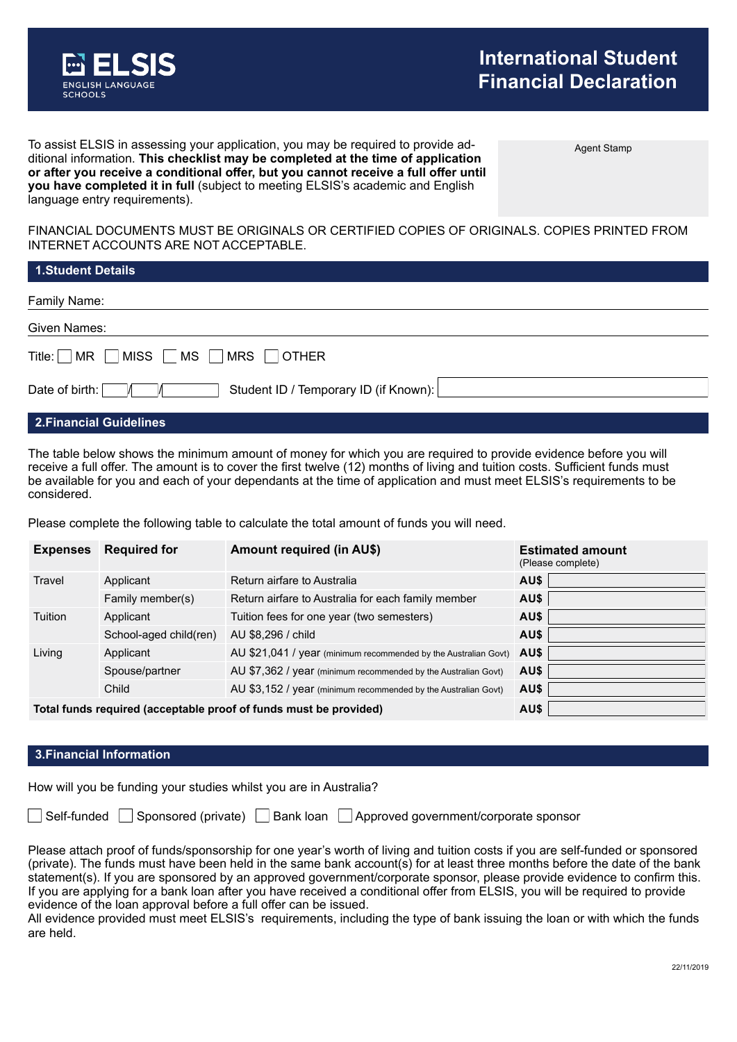

Agent Stamp

To assist ELSIS in assessing your application, you may be required to provide additional information. **This checklist may be completed at the time of application or after you receive a conditional offer, but you cannot receive a full offer until you have completed it in full** (subject to meeting ELSIS's academic and English language entry requirements).

FINANCIAL DOCUMENTS MUST BE ORIGINALS OR CERTIFIED COPIES OF ORIGINALS. COPIES PRINTED FROM INTERNET ACCOUNTS ARE NOT ACCEPTABLE.

| <b>1.Student Details</b>                                       |
|----------------------------------------------------------------|
| Family Name:                                                   |
| Given Names:                                                   |
| Title: $\Box$ MR $\Box$ MISS $\Box$ MS $\Box$ MRS $\Box$ OTHER |
| Student ID / Temporary ID (if Known):<br>Date of birth:        |
| ____                                                           |

#### **2.Financial Guidelines**

The table below shows the minimum amount of money for which you are required to provide evidence before you will receive a full offer. The amount is to cover the first twelve (12) months of living and tuition costs. Sufficient funds must be available for you and each of your dependants at the time of application and must meet ELSIS's requirements to be considered.

Please complete the following table to calculate the total amount of funds you will need.

| <b>Expenses</b> | <b>Required for</b>                                               | <b>Amount required (in AU\$)</b>                                | <b>Estimated amount</b><br>(Please complete) |
|-----------------|-------------------------------------------------------------------|-----------------------------------------------------------------|----------------------------------------------|
| Travel          | Applicant                                                         | Return airfare to Australia                                     | AU\$                                         |
|                 | Family member(s)                                                  | Return airfare to Australia for each family member              | AU\$                                         |
| Tuition         | Applicant                                                         | Tuition fees for one year (two semesters)                       | AU\$                                         |
|                 | School-aged child(ren)                                            | AU \$8,296 / child                                              | AU\$                                         |
| Living          | Applicant                                                         | AU \$21,041 / year (minimum recommended by the Australian Govt) | AU\$                                         |
|                 | Spouse/partner                                                    | AU \$7,362 / year (minimum recommended by the Australian Govt)  | AU\$                                         |
|                 | Child                                                             | AU \$3,152 / year (minimum recommended by the Australian Govt)  | AU\$                                         |
|                 | Total funds required (acceptable proof of funds must be provided) | AU\$                                                            |                                              |

### **3.Financial Information**

How will you be funding your studies whilst you are in Australia?

Self-funded Sponsored (private) Bank loan Approved government/corporate sponsor

Please attach proof of funds/sponsorship for one year's worth of living and tuition costs if you are self-funded or sponsored (private). The funds must have been held in the same bank account(s) for at least three months before the date of the bank statement(s). If you are sponsored by an approved government/corporate sponsor, please provide evidence to confirm this. If you are applying for a bank loan after you have received a conditional offer from ELSIS, you will be required to provide evidence of the loan approval before a full offer can be issued.

All evidence provided must meet ELSIS's requirements, including the type of bank issuing the loan or with which the funds are held.